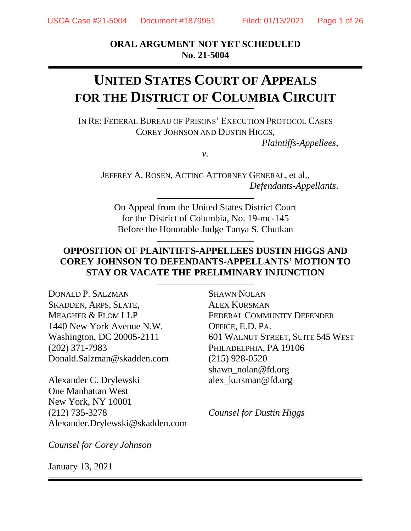**ORAL ARGUMENT NOT YET SCHEDULED No. 21-5004**

# **UNITED STATES COURT OF APPEALS FOR THE DISTRICT OF COLUMBIA CIRCUIT**

IN RE: FEDERAL BUREAU OF PRISONS' EXECUTION PROTOCOL CASES COREY JOHNSON AND DUSTIN HIGGS,

*Plaintiffs-Appellees*,

*v.*

JEFFREY A. ROSEN, ACTING ATTORNEY GENERAL, et al., *Defendants-Appellants*.

On Appeal from the United States District Court for the District of Columbia, No. 19-mc-145 Before the Honorable Judge Tanya S. Chutkan

## **OPPOSITION OF PLAINTIFFS-APPELLEES DUSTIN HIGGS AND COREY JOHNSON TO DEFENDANTS-APPELLANTS' MOTION TO STAY OR VACATE THE PRELIMINARY INJUNCTION**

DONALD P. SALZMAN SKADDEN, ARPS, SLATE, MEAGHER & FLOM LLP 1440 New York Avenue N.W. Washington, DC 20005-2111 (202) 371-7983 Donald.Salzman@skadden.com

Alexander C. Drylewski One Manhattan West New York, NY 10001 (212) 735-3278 Alexander.Drylewski@skadden.com

*Counsel for Corey Johnson*

January 13, 2021

SHAWN NOLAN ALEX KURSMAN FEDERAL COMMUNITY DEFENDER OFFICE, E.D. PA. 601 WALNUT STREET, SUITE 545 WEST PHILADELPHIA, PA 19106 (215) 928-0520 shawn\_nolan@fd.org alex\_kursman@fd.org

*Counsel for Dustin Higgs*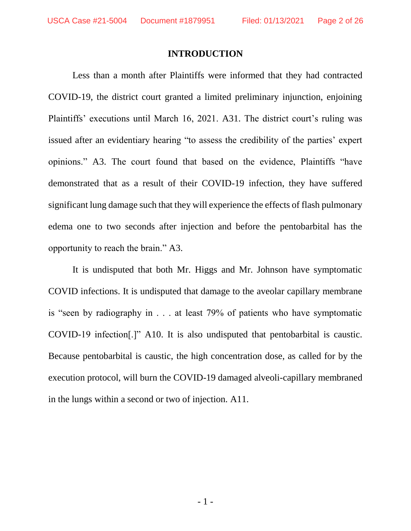#### **INTRODUCTION**

Less than a month after Plaintiffs were informed that they had contracted COVID-19, the district court granted a limited preliminary injunction, enjoining Plaintiffs' executions until March 16, 2021. A31. The district court's ruling was issued after an evidentiary hearing "to assess the credibility of the parties' expert opinions." A3. The court found that based on the evidence, Plaintiffs "have demonstrated that as a result of their COVID-19 infection, they have suffered significant lung damage such that they will experience the effects of flash pulmonary edema one to two seconds after injection and before the pentobarbital has the opportunity to reach the brain." A3.

It is undisputed that both Mr. Higgs and Mr. Johnson have symptomatic COVID infections. It is undisputed that damage to the aveolar capillary membrane is "seen by radiography in . . . at least 79% of patients who have symptomatic COVID-19 infection[.]" A10. It is also undisputed that pentobarbital is caustic. Because pentobarbital is caustic, the high concentration dose, as called for by the execution protocol, will burn the COVID-19 damaged alveoli-capillary membraned in the lungs within a second or two of injection. A11.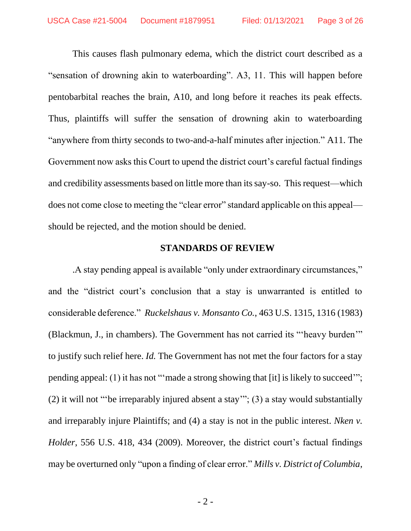This causes flash pulmonary edema, which the district court described as a "sensation of drowning akin to waterboarding". A3, 11. This will happen before pentobarbital reaches the brain, A10, and long before it reaches its peak effects. Thus, plaintiffs will suffer the sensation of drowning akin to waterboarding "anywhere from thirty seconds to two-and-a-half minutes after injection." A11. The Government now asks this Court to upend the district court's careful factual findings and credibility assessments based on little more than its say-so. This request—which does not come close to meeting the "clear error" standard applicable on this appeal should be rejected, and the motion should be denied.

#### **STANDARDS OF REVIEW**

.A stay pending appeal is available "only under extraordinary circumstances," and the "district court's conclusion that a stay is unwarranted is entitled to considerable deference." *Ruckelshaus v. Monsanto Co.*, 463 U.S. 1315, 1316 (1983) (Blackmun, J., in chambers). The Government has not carried its "'heavy burden'" to justify such relief here. *Id.* The Government has not met the four factors for a stay pending appeal: (1) it has not "'made a strong showing that [it] is likely to succeed'"; (2) it will not "'be irreparably injured absent a stay'"; (3) a stay would substantially and irreparably injure Plaintiffs; and (4) a stay is not in the public interest. *Nken v. Holder*, 556 U.S. 418, 434 (2009). Moreover, the district court's factual findings may be overturned only "upon a finding of clear error." *Mills v. District of Columbia*,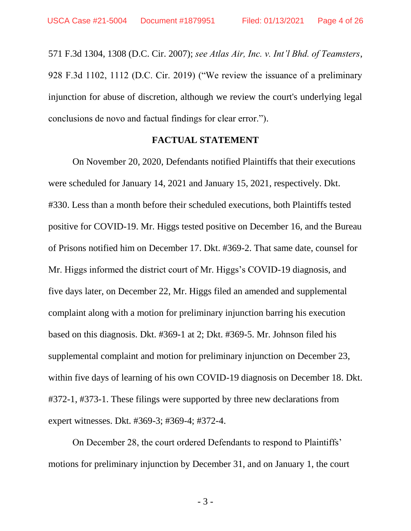571 F.3d 1304, 1308 (D.C. Cir. 2007); *see Atlas Air, Inc. v. Int'l Bhd. of Teamsters*, 928 F.3d 1102, 1112 (D.C. Cir. 2019) ("We review the issuance of a preliminary injunction for abuse of discretion, although we review the court's underlying legal conclusions de novo and factual findings for clear error.").

#### **FACTUAL STATEMENT**

On November 20, 2020, Defendants notified Plaintiffs that their executions were scheduled for January 14, 2021 and January 15, 2021, respectively. Dkt. #330. Less than a month before their scheduled executions, both Plaintiffs tested positive for COVID-19. Mr. Higgs tested positive on December 16, and the Bureau of Prisons notified him on December 17. Dkt. #369-2. That same date, counsel for Mr. Higgs informed the district court of Mr. Higgs's COVID-19 diagnosis, and five days later, on December 22, Mr. Higgs filed an amended and supplemental complaint along with a motion for preliminary injunction barring his execution based on this diagnosis. Dkt. #369-1 at 2; Dkt. #369-5. Mr. Johnson filed his supplemental complaint and motion for preliminary injunction on December 23, within five days of learning of his own COVID-19 diagnosis on December 18. Dkt. #372-1, #373-1. These filings were supported by three new declarations from expert witnesses. Dkt. #369-3; #369-4; #372-4.

On December 28, the court ordered Defendants to respond to Plaintiffs' motions for preliminary injunction by December 31, and on January 1, the court

- 3 -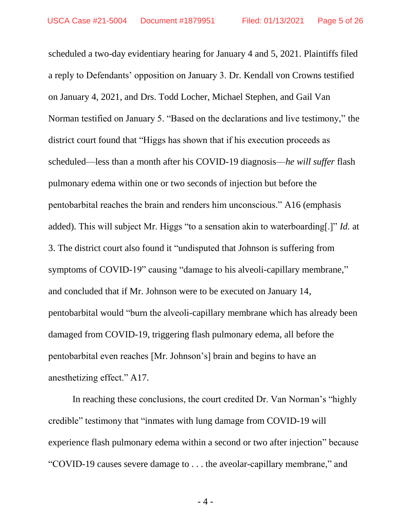scheduled a two-day evidentiary hearing for January 4 and 5, 2021. Plaintiffs filed a reply to Defendants' opposition on January 3. Dr. Kendall von Crowns testified on January 4, 2021, and Drs. Todd Locher, Michael Stephen, and Gail Van Norman testified on January 5. "Based on the declarations and live testimony," the district court found that "Higgs has shown that if his execution proceeds as scheduled—less than a month after his COVID-19 diagnosis—*he will suffer* flash pulmonary edema within one or two seconds of injection but before the pentobarbital reaches the brain and renders him unconscious." A16 (emphasis added). This will subject Mr. Higgs "to a sensation akin to waterboarding[.]" *Id.* at 3. The district court also found it "undisputed that Johnson is suffering from symptoms of COVID-19" causing "damage to his alveoli-capillary membrane," and concluded that if Mr. Johnson were to be executed on January 14, pentobarbital would "burn the alveoli-capillary membrane which has already been damaged from COVID-19, triggering flash pulmonary edema, all before the pentobarbital even reaches [Mr. Johnson's] brain and begins to have an anesthetizing effect." A17.

In reaching these conclusions, the court credited Dr. Van Norman's "highly credible" testimony that "inmates with lung damage from COVID-19 will experience flash pulmonary edema within a second or two after injection" because "COVID-19 causes severe damage to . . . the aveolar-capillary membrane," and

- 4 -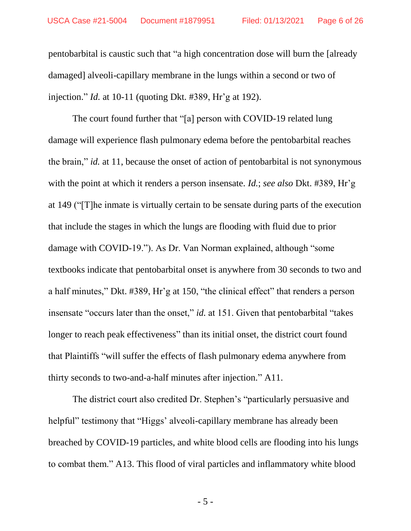pentobarbital is caustic such that "a high concentration dose will burn the [already damaged] alveoli-capillary membrane in the lungs within a second or two of injection." *Id.* at 10-11 (quoting Dkt. #389, Hr'g at 192).

The court found further that "[a] person with COVID-19 related lung damage will experience flash pulmonary edema before the pentobarbital reaches the brain," *id.* at 11, because the onset of action of pentobarbital is not synonymous with the point at which it renders a person insensate. *Id.*; *see also* Dkt. #389, Hr'g at 149 ("[T]he inmate is virtually certain to be sensate during parts of the execution that include the stages in which the lungs are flooding with fluid due to prior damage with COVID-19."). As Dr. Van Norman explained, although "some textbooks indicate that pentobarbital onset is anywhere from 30 seconds to two and a half minutes," Dkt. #389, Hr'g at 150, "the clinical effect" that renders a person insensate "occurs later than the onset," *id.* at 151. Given that pentobarbital "takes longer to reach peak effectiveness" than its initial onset, the district court found that Plaintiffs "will suffer the effects of flash pulmonary edema anywhere from thirty seconds to two-and-a-half minutes after injection." A11.

The district court also credited Dr. Stephen's "particularly persuasive and helpful" testimony that "Higgs' alveoli-capillary membrane has already been breached by COVID-19 particles, and white blood cells are flooding into his lungs to combat them." A13. This flood of viral particles and inflammatory white blood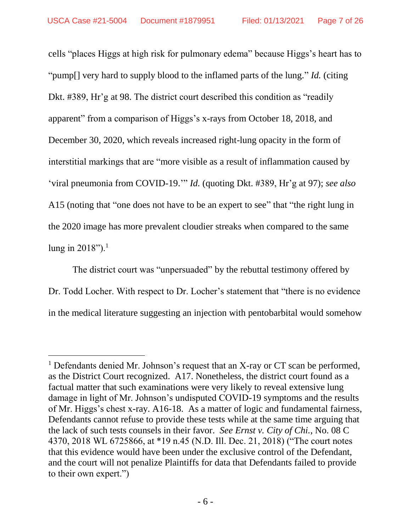cells "places Higgs at high risk for pulmonary edema" because Higgs's heart has to "pump[] very hard to supply blood to the inflamed parts of the lung." *Id.* (citing Dkt. #389, Hr'g at 98. The district court described this condition as "readily apparent" from a comparison of Higgs's x-rays from October 18, 2018, and December 30, 2020, which reveals increased right-lung opacity in the form of interstitial markings that are "more visible as a result of inflammation caused by 'viral pneumonia from COVID-19.'" *Id.* (quoting Dkt. #389, Hr'g at 97); *see also*  A15 (noting that "one does not have to be an expert to see" that "the right lung in the 2020 image has more prevalent cloudier streaks when compared to the same lung in  $2018$ ").<sup>1</sup>

The district court was "unpersuaded" by the rebuttal testimony offered by Dr. Todd Locher. With respect to Dr. Locher's statement that "there is no evidence in the medical literature suggesting an injection with pentobarbital would somehow

l

 $1$  Defendants denied Mr. Johnson's request that an X-ray or CT scan be performed, as the District Court recognized. A17. Nonetheless, the district court found as a factual matter that such examinations were very likely to reveal extensive lung damage in light of Mr. Johnson's undisputed COVID-19 symptoms and the results of Mr. Higgs's chest x-ray. A16-18. As a matter of logic and fundamental fairness, Defendants cannot refuse to provide these tests while at the same time arguing that the lack of such tests counsels in their favor. *See Ernst v. City of Chi.*, No. 08 C 4370, 2018 WL 6725866, at \*19 n.45 (N.D. Ill. Dec. 21, 2018) ("The court notes that this evidence would have been under the exclusive control of the Defendant, and the court will not penalize Plaintiffs for data that Defendants failed to provide to their own expert.")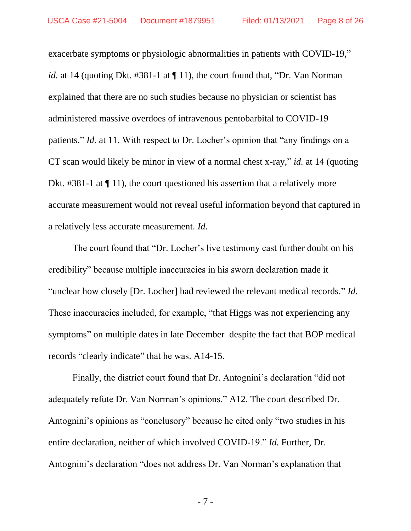exacerbate symptoms or physiologic abnormalities in patients with COVID-19," *id.* at 14 (quoting Dkt. #381-1 at  $\P$  11), the court found that, "Dr. Van Norman" explained that there are no such studies because no physician or scientist has administered massive overdoes of intravenous pentobarbital to COVID-19 patients." *Id*. at 11. With respect to Dr. Locher's opinion that "any findings on a CT scan would likely be minor in view of a normal chest x-ray," *id.* at 14 (quoting Dkt. #381-1 at  $\P$  11), the court questioned his assertion that a relatively more accurate measurement would not reveal useful information beyond that captured in a relatively less accurate measurement. *Id.*

The court found that "Dr. Locher's live testimony cast further doubt on his credibility" because multiple inaccuracies in his sworn declaration made it "unclear how closely [Dr. Locher] had reviewed the relevant medical records." *Id.* These inaccuracies included, for example, "that Higgs was not experiencing any symptoms" on multiple dates in late December despite the fact that BOP medical records "clearly indicate" that he was. A14-15.

Finally, the district court found that Dr. Antognini's declaration "did not adequately refute Dr. Van Norman's opinions." A12. The court described Dr. Antognini's opinions as "conclusory" because he cited only "two studies in his entire declaration, neither of which involved COVID-19." *Id.* Further, Dr. Antognini's declaration "does not address Dr. Van Norman's explanation that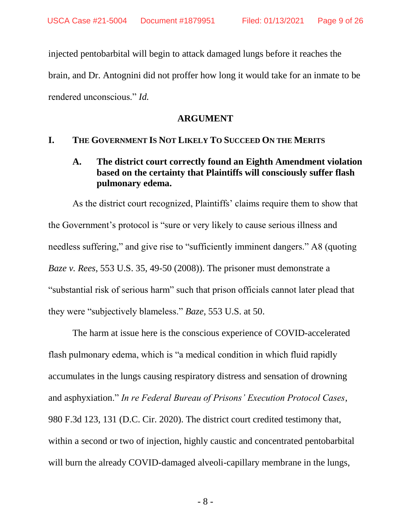injected pentobarbital will begin to attack damaged lungs before it reaches the brain, and Dr. Antognini did not proffer how long it would take for an inmate to be rendered unconscious." *Id.*

#### **ARGUMENT**

## **I. THE GOVERNMENT IS NOT LIKELY TO SUCCEED ON THE MERITS**

# **A. The district court correctly found an Eighth Amendment violation based on the certainty that Plaintiffs will consciously suffer flash pulmonary edema.**

As the district court recognized, Plaintiffs' claims require them to show that the Government's protocol is "sure or very likely to cause serious illness and needless suffering," and give rise to "sufficiently imminent dangers." A8 (quoting *Baze v. Rees*, 553 U.S. 35, 49-50 (2008)). The prisoner must demonstrate a "substantial risk of serious harm" such that prison officials cannot later plead that they were "subjectively blameless." *Baze*, 553 U.S. at 50.

The harm at issue here is the conscious experience of COVID-accelerated flash pulmonary edema, which is "a medical condition in which fluid rapidly accumulates in the lungs causing respiratory distress and sensation of drowning and asphyxiation." *In re Federal Bureau of Prisons' Execution Protocol Cases*, 980 F.3d 123, 131 (D.C. Cir. 2020). The district court credited testimony that, within a second or two of injection, highly caustic and concentrated pentobarbital will burn the already COVID-damaged alveoli-capillary membrane in the lungs,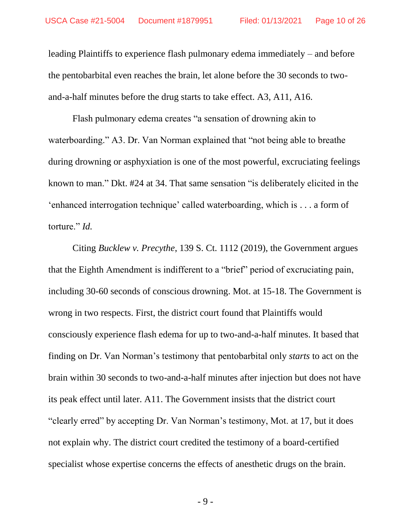leading Plaintiffs to experience flash pulmonary edema immediately – and before the pentobarbital even reaches the brain, let alone before the 30 seconds to twoand-a-half minutes before the drug starts to take effect. A3, A11, A16.

Flash pulmonary edema creates "a sensation of drowning akin to waterboarding." A3. Dr. Van Norman explained that "not being able to breathe during drowning or asphyxiation is one of the most powerful, excruciating feelings known to man." Dkt. #24 at 34. That same sensation "is deliberately elicited in the 'enhanced interrogation technique' called waterboarding, which is . . . a form of torture." *Id.*

Citing *Bucklew v. Precythe*, 139 S. Ct. 1112 (2019), the Government argues that the Eighth Amendment is indifferent to a "brief" period of excruciating pain, including 30-60 seconds of conscious drowning. Mot. at 15-18. The Government is wrong in two respects. First, the district court found that Plaintiffs would consciously experience flash edema for up to two-and-a-half minutes. It based that finding on Dr. Van Norman's testimony that pentobarbital only *starts* to act on the brain within 30 seconds to two-and-a-half minutes after injection but does not have its peak effect until later. A11. The Government insists that the district court "clearly erred" by accepting Dr. Van Norman's testimony, Mot. at 17, but it does not explain why. The district court credited the testimony of a board-certified specialist whose expertise concerns the effects of anesthetic drugs on the brain.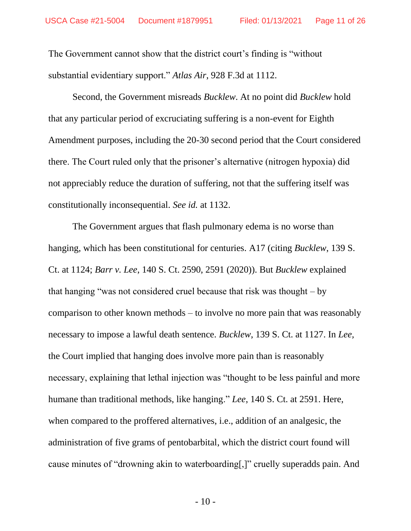The Government cannot show that the district court's finding is "without substantial evidentiary support." *Atlas Air*, 928 F.3d at 1112.

Second, the Government misreads *Bucklew*. At no point did *Bucklew* hold that any particular period of excruciating suffering is a non-event for Eighth Amendment purposes, including the 20-30 second period that the Court considered there. The Court ruled only that the prisoner's alternative (nitrogen hypoxia) did not appreciably reduce the duration of suffering, not that the suffering itself was constitutionally inconsequential. *See id.* at 1132.

The Government argues that flash pulmonary edema is no worse than hanging, which has been constitutional for centuries. A17 (citing *Bucklew*, 139 S. Ct. at 1124; *Barr v. Lee*, 140 S. Ct. 2590, 2591 (2020)). But *Bucklew* explained that hanging "was not considered cruel because that risk was thought – by comparison to other known methods – to involve no more pain that was reasonably necessary to impose a lawful death sentence. *Bucklew*, 139 S. Ct. at 1127. In *Lee,*  the Court implied that hanging does involve more pain than is reasonably necessary, explaining that lethal injection was "thought to be less painful and more humane than traditional methods, like hanging." *Lee*, 140 S. Ct. at 2591. Here, when compared to the proffered alternatives, i.e., addition of an analgesic, the administration of five grams of pentobarbital, which the district court found will cause minutes of "drowning akin to waterboarding[,]" cruelly superadds pain. And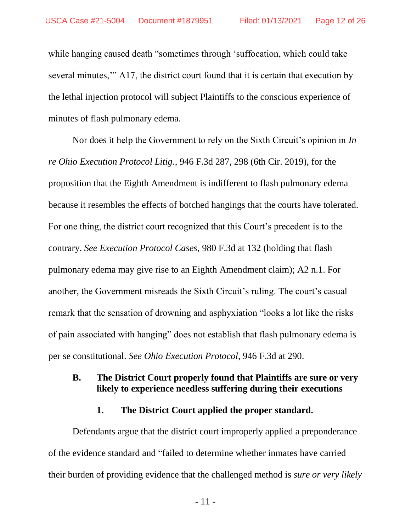while hanging caused death "sometimes through 'suffocation, which could take several minutes,'" A17, the district court found that it is certain that execution by the lethal injection protocol will subject Plaintiffs to the conscious experience of minutes of flash pulmonary edema.

Nor does it help the Government to rely on the Sixth Circuit's opinion in *In re Ohio Execution Protocol Litig*., 946 F.3d 287, 298 (6th Cir. 2019), for the proposition that the Eighth Amendment is indifferent to flash pulmonary edema because it resembles the effects of botched hangings that the courts have tolerated. For one thing, the district court recognized that this Court's precedent is to the contrary. *See Execution Protocol Cases*, 980 F.3d at 132 (holding that flash pulmonary edema may give rise to an Eighth Amendment claim); A2 n.1. For another, the Government misreads the Sixth Circuit's ruling. The court's casual remark that the sensation of drowning and asphyxiation "looks a lot like the risks of pain associated with hanging" does not establish that flash pulmonary edema is per se constitutional. *See Ohio Execution Protocol*, 946 F.3d at 290.

## **B. The District Court properly found that Plaintiffs are sure or very likely to experience needless suffering during their executions**

### **1. The District Court applied the proper standard.**

Defendants argue that the district court improperly applied a preponderance of the evidence standard and "failed to determine whether inmates have carried their burden of providing evidence that the challenged method is *sure or very likely*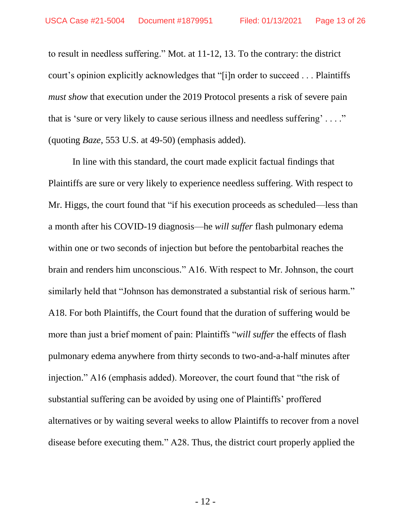to result in needless suffering." Mot. at 11-12, 13. To the contrary: the district court's opinion explicitly acknowledges that "[i]n order to succeed . . . Plaintiffs *must show* that execution under the 2019 Protocol presents a risk of severe pain that is 'sure or very likely to cause serious illness and needless suffering' . . . ." (quoting *Baze*, 553 U.S. at 49-50) (emphasis added).

In line with this standard, the court made explicit factual findings that Plaintiffs are sure or very likely to experience needless suffering. With respect to Mr. Higgs, the court found that "if his execution proceeds as scheduled—less than a month after his COVID-19 diagnosis—he *will suffer* flash pulmonary edema within one or two seconds of injection but before the pentobarbital reaches the brain and renders him unconscious." A16. With respect to Mr. Johnson, the court similarly held that "Johnson has demonstrated a substantial risk of serious harm." A18. For both Plaintiffs, the Court found that the duration of suffering would be more than just a brief moment of pain: Plaintiffs "*will suffer* the effects of flash pulmonary edema anywhere from thirty seconds to two-and-a-half minutes after injection." A16 (emphasis added). Moreover, the court found that "the risk of substantial suffering can be avoided by using one of Plaintiffs' proffered alternatives or by waiting several weeks to allow Plaintiffs to recover from a novel disease before executing them." A28. Thus, the district court properly applied the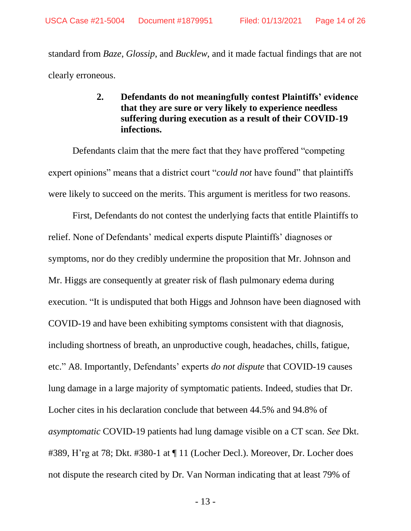standard from *Baze*, *Glossip*, and *Bucklew*, and it made factual findings that are not clearly erroneous.

# **2. Defendants do not meaningfully contest Plaintiffs' evidence that they are sure or very likely to experience needless suffering during execution as a result of their COVID-19 infections.**

Defendants claim that the mere fact that they have proffered "competing expert opinions" means that a district court "*could not* have found" that plaintiffs were likely to succeed on the merits. This argument is meritless for two reasons.

First, Defendants do not contest the underlying facts that entitle Plaintiffs to relief. None of Defendants' medical experts dispute Plaintiffs' diagnoses or symptoms, nor do they credibly undermine the proposition that Mr. Johnson and Mr. Higgs are consequently at greater risk of flash pulmonary edema during execution. "It is undisputed that both Higgs and Johnson have been diagnosed with COVID-19 and have been exhibiting symptoms consistent with that diagnosis, including shortness of breath, an unproductive cough, headaches, chills, fatigue, etc." A8. Importantly, Defendants' experts *do not dispute* that COVID-19 causes lung damage in a large majority of symptomatic patients. Indeed, studies that Dr. Locher cites in his declaration conclude that between 44.5% and 94.8% of *asymptomatic* COVID-19 patients had lung damage visible on a CT scan. *See* Dkt. #389, H'rg at 78; Dkt. #380-1 at ¶ 11 (Locher Decl.). Moreover, Dr. Locher does not dispute the research cited by Dr. Van Norman indicating that at least 79% of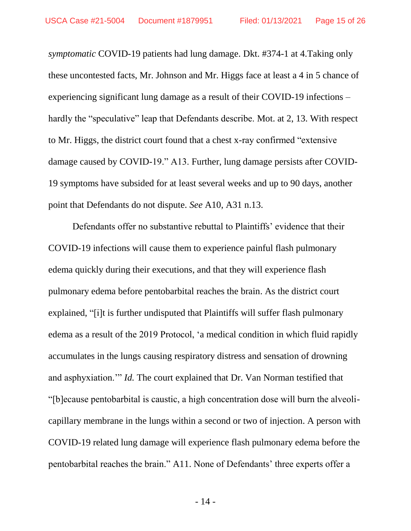*symptomatic* COVID-19 patients had lung damage. Dkt. #374-1 at 4.Taking only these uncontested facts, Mr. Johnson and Mr. Higgs face at least a 4 in 5 chance of experiencing significant lung damage as a result of their COVID-19 infections – hardly the "speculative" leap that Defendants describe. Mot. at 2, 13. With respect to Mr. Higgs, the district court found that a chest x-ray confirmed "extensive damage caused by COVID-19." A13. Further, lung damage persists after COVID-19 symptoms have subsided for at least several weeks and up to 90 days, another point that Defendants do not dispute. *See* A10, A31 n.13.

Defendants offer no substantive rebuttal to Plaintiffs' evidence that their COVID-19 infections will cause them to experience painful flash pulmonary edema quickly during their executions, and that they will experience flash pulmonary edema before pentobarbital reaches the brain. As the district court explained, "[i]t is further undisputed that Plaintiffs will suffer flash pulmonary edema as a result of the 2019 Protocol, 'a medical condition in which fluid rapidly accumulates in the lungs causing respiratory distress and sensation of drowning and asphyxiation.'" *Id.* The court explained that Dr. Van Norman testified that "[b]ecause pentobarbital is caustic, a high concentration dose will burn the alveolicapillary membrane in the lungs within a second or two of injection. A person with COVID-19 related lung damage will experience flash pulmonary edema before the pentobarbital reaches the brain." A11. None of Defendants' three experts offer a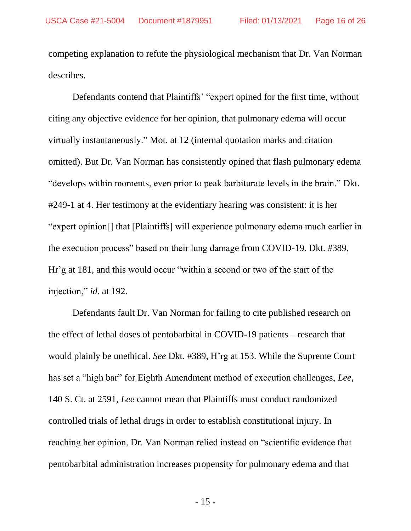competing explanation to refute the physiological mechanism that Dr. Van Norman describes.

Defendants contend that Plaintiffs' "expert opined for the first time, without citing any objective evidence for her opinion, that pulmonary edema will occur virtually instantaneously." Mot. at 12 (internal quotation marks and citation omitted). But Dr. Van Norman has consistently opined that flash pulmonary edema "develops within moments, even prior to peak barbiturate levels in the brain." Dkt. #249-1 at 4. Her testimony at the evidentiary hearing was consistent: it is her "expert opinion[] that [Plaintiffs] will experience pulmonary edema much earlier in the execution process" based on their lung damage from COVID-19. Dkt. #389, Hr'g at 181, and this would occur "within a second or two of the start of the injection," *id.* at 192.

Defendants fault Dr. Van Norman for failing to cite published research on the effect of lethal doses of pentobarbital in COVID-19 patients – research that would plainly be unethical. *See* Dkt. #389, H'rg at 153. While the Supreme Court has set a "high bar" for Eighth Amendment method of execution challenges, *Lee*, 140 S. Ct. at 2591, *Lee* cannot mean that Plaintiffs must conduct randomized controlled trials of lethal drugs in order to establish constitutional injury. In reaching her opinion, Dr. Van Norman relied instead on "scientific evidence that pentobarbital administration increases propensity for pulmonary edema and that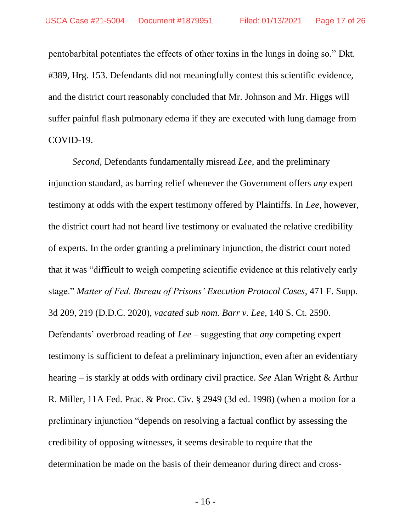pentobarbital potentiates the effects of other toxins in the lungs in doing so." Dkt. #389, Hrg. 153. Defendants did not meaningfully contest this scientific evidence, and the district court reasonably concluded that Mr. Johnson and Mr. Higgs will suffer painful flash pulmonary edema if they are executed with lung damage from COVID-19.

*Second*, Defendants fundamentally misread *Lee*, and the preliminary injunction standard, as barring relief whenever the Government offers *any* expert testimony at odds with the expert testimony offered by Plaintiffs. In *Lee*, however, the district court had not heard live testimony or evaluated the relative credibility of experts. In the order granting a preliminary injunction, the district court noted that it was "difficult to weigh competing scientific evidence at this relatively early stage." *Matter of Fed. Bureau of Prisons' Execution Protocol Cases*, 471 F. Supp. 3d 209, 219 (D.D.C. 2020), *vacated sub nom. Barr v. Lee*, 140 S. Ct. 2590. Defendants' overbroad reading of *Lee* – suggesting that *any* competing expert testimony is sufficient to defeat a preliminary injunction, even after an evidentiary hearing – is starkly at odds with ordinary civil practice. *See* Alan Wright & Arthur R. Miller, 11A Fed. Prac. & Proc. Civ. § 2949 (3d ed. 1998) (when a motion for a preliminary injunction "depends on resolving a factual conflict by assessing the credibility of opposing witnesses, it seems desirable to require that the determination be made on the basis of their demeanor during direct and cross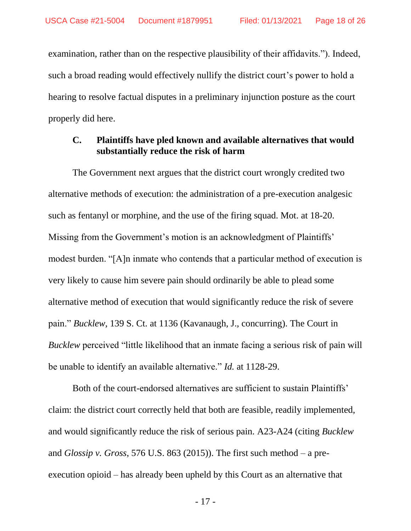examination, rather than on the respective plausibility of their affidavits."). Indeed, such a broad reading would effectively nullify the district court's power to hold a hearing to resolve factual disputes in a preliminary injunction posture as the court properly did here.

#### **C. Plaintiffs have pled known and available alternatives that would substantially reduce the risk of harm**

The Government next argues that the district court wrongly credited two alternative methods of execution: the administration of a pre-execution analgesic such as fentanyl or morphine, and the use of the firing squad. Mot. at 18-20. Missing from the Government's motion is an acknowledgment of Plaintiffs' modest burden. "[A]n inmate who contends that a particular method of execution is very likely to cause him severe pain should ordinarily be able to plead some alternative method of execution that would significantly reduce the risk of severe pain." *Bucklew*, 139 S. Ct. at 1136 (Kavanaugh, J., concurring). The Court in *Bucklew* perceived "little likelihood that an inmate facing a serious risk of pain will be unable to identify an available alternative." *Id.* at 1128-29.

Both of the court-endorsed alternatives are sufficient to sustain Plaintiffs' claim: the district court correctly held that both are feasible, readily implemented, and would significantly reduce the risk of serious pain. A23-A24 (citing *Bucklew* and *Glossip v. Gross*, 576 U.S. 863 (2015)). The first such method – a preexecution opioid – has already been upheld by this Court as an alternative that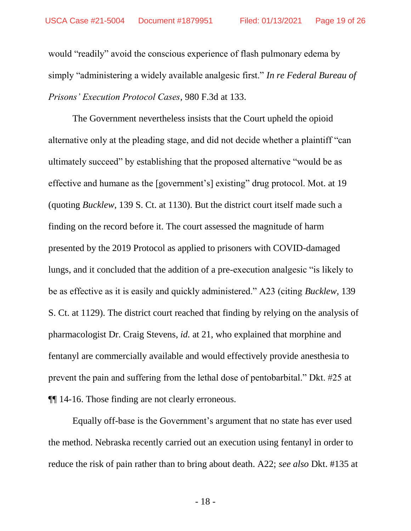would "readily" avoid the conscious experience of flash pulmonary edema by simply "administering a widely available analgesic first." *In re Federal Bureau of Prisons' Execution Protocol Cases*, 980 F.3d at 133.

The Government nevertheless insists that the Court upheld the opioid alternative only at the pleading stage, and did not decide whether a plaintiff "can ultimately succeed" by establishing that the proposed alternative "would be as effective and humane as the [government's] existing" drug protocol. Mot. at 19 (quoting *Bucklew*, 139 S. Ct. at 1130). But the district court itself made such a finding on the record before it. The court assessed the magnitude of harm presented by the 2019 Protocol as applied to prisoners with COVID-damaged lungs, and it concluded that the addition of a pre-execution analgesic "is likely to be as effective as it is easily and quickly administered." A23 (citing *Bucklew*, 139 S. Ct. at 1129). The district court reached that finding by relying on the analysis of pharmacologist Dr. Craig Stevens, *id.* at 21, who explained that morphine and fentanyl are commercially available and would effectively provide anesthesia to prevent the pain and suffering from the lethal dose of pentobarbital." Dkt. #25 at ¶¶ 14-16. Those finding are not clearly erroneous.

Equally off-base is the Government's argument that no state has ever used the method. Nebraska recently carried out an execution using fentanyl in order to reduce the risk of pain rather than to bring about death. A22; *see also* Dkt. #135 at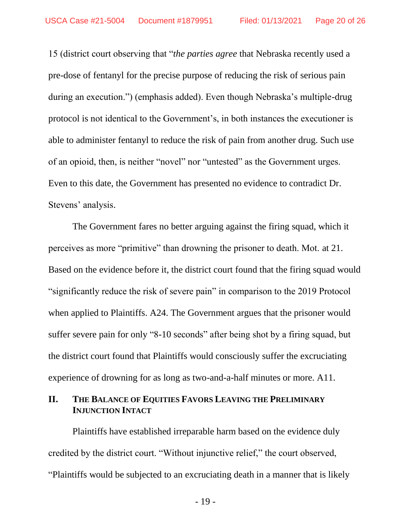15 (district court observing that "*the parties agree* that Nebraska recently used a pre-dose of fentanyl for the precise purpose of reducing the risk of serious pain during an execution.") (emphasis added). Even though Nebraska's multiple-drug protocol is not identical to the Government's, in both instances the executioner is able to administer fentanyl to reduce the risk of pain from another drug. Such use of an opioid, then, is neither "novel" nor "untested" as the Government urges. Even to this date, the Government has presented no evidence to contradict Dr. Stevens' analysis.

The Government fares no better arguing against the firing squad, which it perceives as more "primitive" than drowning the prisoner to death. Mot. at 21. Based on the evidence before it, the district court found that the firing squad would "significantly reduce the risk of severe pain" in comparison to the 2019 Protocol when applied to Plaintiffs. A24. The Government argues that the prisoner would suffer severe pain for only "8-10 seconds" after being shot by a firing squad, but the district court found that Plaintiffs would consciously suffer the excruciating experience of drowning for as long as two-and-a-half minutes or more. A11.

## **II. THE BALANCE OF EQUITIES FAVORS LEAVING THE PRELIMINARY INJUNCTION INTACT**

Plaintiffs have established irreparable harm based on the evidence duly credited by the district court. "Without injunctive relief," the court observed, "Plaintiffs would be subjected to an excruciating death in a manner that is likely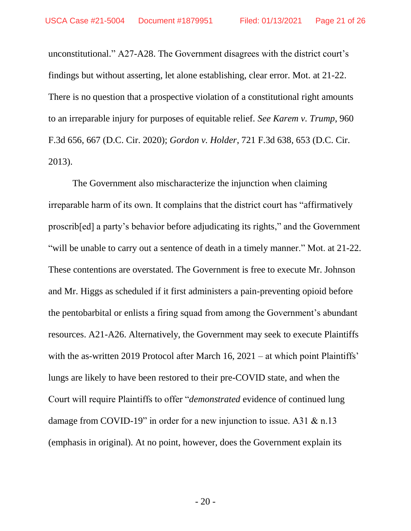unconstitutional." A27-A28. The Government disagrees with the district court's findings but without asserting, let alone establishing, clear error. Mot. at 21-22. There is no question that a prospective violation of a constitutional right amounts to an irreparable injury for purposes of equitable relief. *See Karem v. Trump*, 960 F.3d 656, 667 (D.C. Cir. 2020); *Gordon v. Holder*, 721 F.3d 638, 653 (D.C. Cir. 2013).

The Government also mischaracterize the injunction when claiming irreparable harm of its own. It complains that the district court has "affirmatively proscrib[ed] a party's behavior before adjudicating its rights," and the Government "will be unable to carry out a sentence of death in a timely manner." Mot. at 21-22. These contentions are overstated. The Government is free to execute Mr. Johnson and Mr. Higgs as scheduled if it first administers a pain-preventing opioid before the pentobarbital or enlists a firing squad from among the Government's abundant resources. A21-A26. Alternatively, the Government may seek to execute Plaintiffs with the as-written 2019 Protocol after March 16, 2021 – at which point Plaintiffs' lungs are likely to have been restored to their pre-COVID state, and when the Court will require Plaintiffs to offer "*demonstrated* evidence of continued lung damage from COVID-19" in order for a new injunction to issue. A31 & n.13 (emphasis in original). At no point, however, does the Government explain its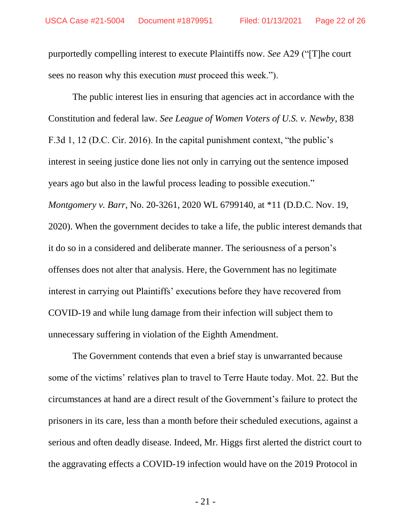purportedly compelling interest to execute Plaintiffs now. *See* A29 ("[T]he court sees no reason why this execution *must* proceed this week.").

The public interest lies in ensuring that agencies act in accordance with the Constitution and federal law. *See League of Women Voters of U.S. v. Newby*, 838 F.3d 1, 12 (D.C. Cir. 2016). In the capital punishment context, "the public's interest in seeing justice done lies not only in carrying out the sentence imposed years ago but also in the lawful process leading to possible execution." *Montgomery v. Barr*, No. 20-3261, 2020 WL 6799140, at \*11 (D.D.C. Nov. 19, 2020). When the government decides to take a life, the public interest demands that it do so in a considered and deliberate manner. The seriousness of a person's offenses does not alter that analysis. Here, the Government has no legitimate interest in carrying out Plaintiffs' executions before they have recovered from COVID-19 and while lung damage from their infection will subject them to unnecessary suffering in violation of the Eighth Amendment.

The Government contends that even a brief stay is unwarranted because some of the victims' relatives plan to travel to Terre Haute today. Mot. 22. But the circumstances at hand are a direct result of the Government's failure to protect the prisoners in its care, less than a month before their scheduled executions, against a serious and often deadly disease. Indeed, Mr. Higgs first alerted the district court to the aggravating effects a COVID-19 infection would have on the 2019 Protocol in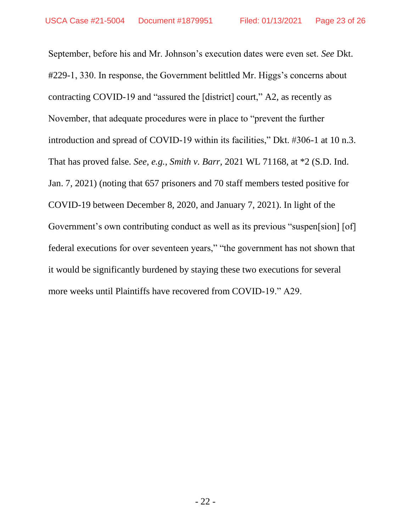September, before his and Mr. Johnson's execution dates were even set. *See* Dkt. #229-1, 330. In response, the Government belittled Mr. Higgs's concerns about contracting COVID-19 and "assured the [district] court," A2, as recently as November, that adequate procedures were in place to "prevent the further introduction and spread of COVID-19 within its facilities," Dkt. #306-1 at 10 n.3. That has proved false. *See, e.g.*, *Smith v. Barr*, 2021 WL 71168, at \*2 (S.D. Ind. Jan. 7, 2021) (noting that 657 prisoners and 70 staff members tested positive for COVID-19 between December 8, 2020, and January 7, 2021). In light of the Government's own contributing conduct as well as its previous "suspen[sion] [of] federal executions for over seventeen years," "the government has not shown that it would be significantly burdened by staying these two executions for several more weeks until Plaintiffs have recovered from COVID-19." A29.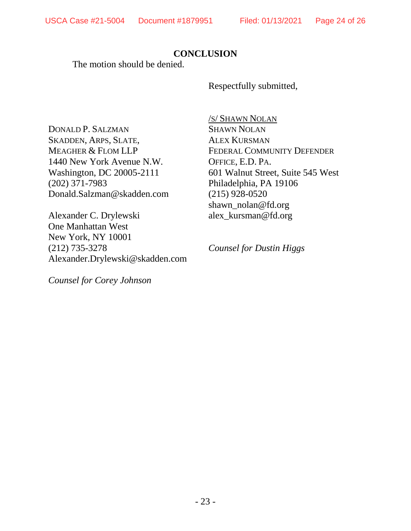# **CONCLUSION**

The motion should be denied.

Respectfully submitted,

DONALD P. SALZMAN SKADDEN, ARPS, SLATE, MEAGHER & FLOM LLP 1440 New York Avenue N.W. Washington, DC 20005-2111 (202) 371-7983 Donald.Salzman@skadden.com

Alexander C. Drylewski One Manhattan West New York, NY 10001 (212) 735-3278 Alexander.Drylewski@skadden.com

*Counsel for Corey Johnson*

/S/ SHAWN NOLAN SHAWN NOLAN ALEX KURSMAN FEDERAL COMMUNITY DEFENDER OFFICE, E.D. PA. 601 Walnut Street, Suite 545 West Philadelphia, PA 19106 (215) 928-0520 shawn\_nolan@fd.org alex\_kursman@fd.org

*Counsel for Dustin Higgs*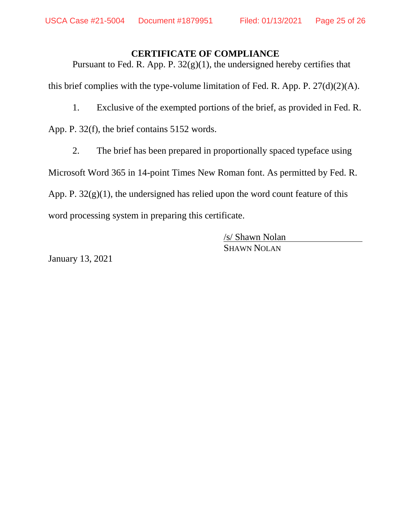#### **CERTIFICATE OF COMPLIANCE**

Pursuant to Fed. R. App. P.  $32(g)(1)$ , the undersigned hereby certifies that this brief complies with the type-volume limitation of Fed. R. App. P.  $27(d)(2)(A)$ .

1. Exclusive of the exempted portions of the brief, as provided in Fed. R.

App. P. 32(f), the brief contains 5152 words.

2. The brief has been prepared in proportionally spaced typeface using

Microsoft Word 365 in 14-point Times New Roman font. As permitted by Fed. R.

App. P.  $32(g)(1)$ , the undersigned has relied upon the word count feature of this

word processing system in preparing this certificate.

/s/ Shawn Nolan SHAWN NOLAN

January 13, 2021